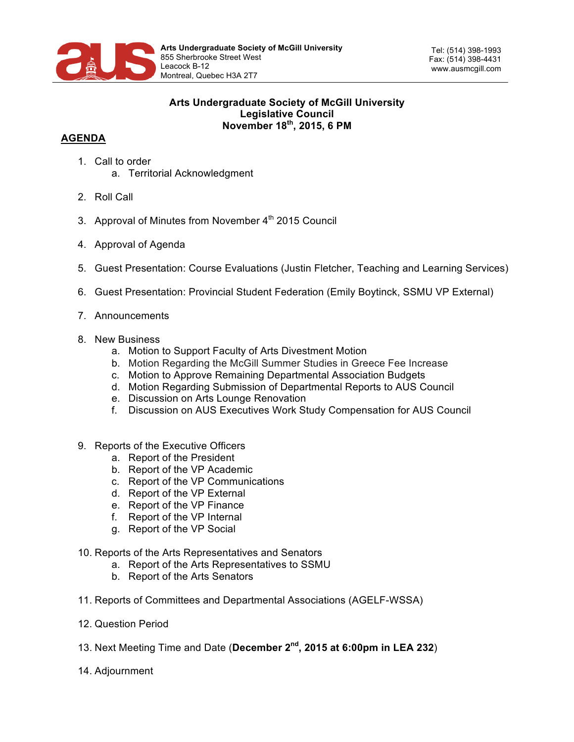

Tel: (514) 398-1993 Fax: (514) 398-4431 www.ausmcgill.com

## **Arts Undergraduate Society of McGill University Legislative Council November 18th, 2015, 6 PM**

## **AGENDA**

- 1. Call to order a. Territorial Acknowledgment
- 2. Roll Call
- 3. Approval of Minutes from November 4<sup>th</sup> 2015 Council
- 4. Approval of Agenda
- 5. Guest Presentation: Course Evaluations (Justin Fletcher, Teaching and Learning Services)
- 6. Guest Presentation: Provincial Student Federation (Emily Boytinck, SSMU VP External)
- 7. Announcements
- 8. New Business
	- a. Motion to Support Faculty of Arts Divestment Motion
	- b. Motion Regarding the McGill Summer Studies in Greece Fee Increase
	- c. Motion to Approve Remaining Departmental Association Budgets
	- d. Motion Regarding Submission of Departmental Reports to AUS Council
	- e. Discussion on Arts Lounge Renovation
	- f. Discussion on AUS Executives Work Study Compensation for AUS Council
- 9. Reports of the Executive Officers
	- a. Report of the President
	- b. Report of the VP Academic
	- c. Report of the VP Communications
	- d. Report of the VP External
	- e. Report of the VP Finance
	- f. Report of the VP Internal
	- g. Report of the VP Social
- 10. Reports of the Arts Representatives and Senators
	- a. Report of the Arts Representatives to SSMU
	- b. Report of the Arts Senators
- 11. Reports of Committees and Departmental Associations (AGELF-WSSA)
- 12. Question Period
- 13. Next Meeting Time and Date (**December 2nd, 2015 at 6:00pm in LEA 232**)
- 14. Adjournment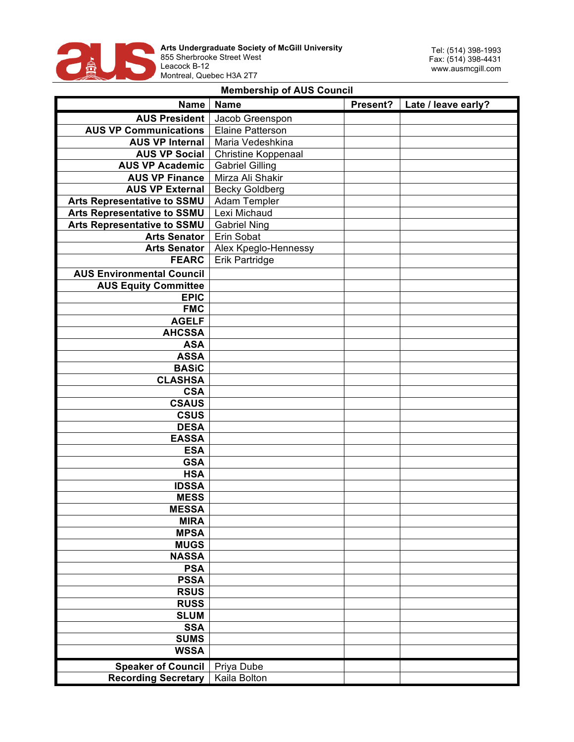

## **Membership of AUS Council**

|                                    | Name   Name                | Present? | Late / leave early? |
|------------------------------------|----------------------------|----------|---------------------|
| <b>AUS President</b>               | Jacob Greenspon            |          |                     |
| <b>AUS VP Communications</b>       | Elaine Patterson           |          |                     |
| <b>AUS VP Internal</b>             | Maria Vedeshkina           |          |                     |
| <b>AUS VP Social</b>               | <b>Christine Koppenaal</b> |          |                     |
| <b>AUS VP Academic</b>             | <b>Gabriel Gilling</b>     |          |                     |
| <b>AUS VP Finance</b>              | Mirza Ali Shakir           |          |                     |
| <b>AUS VP External</b>             | <b>Becky Goldberg</b>      |          |                     |
| Arts Representative to SSMU        | Adam Templer               |          |                     |
| Arts Representative to SSMU        | Lexi Michaud               |          |                     |
| <b>Arts Representative to SSMU</b> | <b>Gabriel Ning</b>        |          |                     |
| <b>Arts Senator</b>                | Erin Sobat                 |          |                     |
| <b>Arts Senator</b>                | Alex Kpeglo-Hennessy       |          |                     |
| <b>FEARC</b>                       | Erik Partridge             |          |                     |
| <b>AUS Environmental Council</b>   |                            |          |                     |
| <b>AUS Equity Committee</b>        |                            |          |                     |
| <b>EPIC</b>                        |                            |          |                     |
| <b>FMC</b>                         |                            |          |                     |
| <b>AGELF</b>                       |                            |          |                     |
| <b>AHCSSA</b>                      |                            |          |                     |
| <b>ASA</b>                         |                            |          |                     |
| <b>ASSA</b>                        |                            |          |                     |
| <b>BASiC</b>                       |                            |          |                     |
| <b>CLASHSA</b>                     |                            |          |                     |
| <b>CSA</b>                         |                            |          |                     |
| <b>CSAUS</b>                       |                            |          |                     |
| <b>CSUS</b>                        |                            |          |                     |
| <b>DESA</b>                        |                            |          |                     |
| <b>EASSA</b>                       |                            |          |                     |
| <b>ESA</b>                         |                            |          |                     |
| <b>GSA</b>                         |                            |          |                     |
| <b>HSA</b>                         |                            |          |                     |
| <b>IDSSA</b>                       |                            |          |                     |
| <b>MESS</b>                        |                            |          |                     |
| <b>MESSA</b>                       |                            |          |                     |
| <b>MIRA</b>                        |                            |          |                     |
| <b>MPSA</b>                        |                            |          |                     |
| <b>MUGS</b>                        |                            |          |                     |
| <b>NASSA</b>                       |                            |          |                     |
| <b>PSA</b>                         |                            |          |                     |
| <b>PSSA</b>                        |                            |          |                     |
| <b>RSUS</b>                        |                            |          |                     |
| <b>RUSS</b>                        |                            |          |                     |
| <b>SLUM</b>                        |                            |          |                     |
| <b>SSA</b>                         |                            |          |                     |
| <b>SUMS</b>                        |                            |          |                     |
| <b>WSSA</b>                        |                            |          |                     |
| <b>Speaker of Council</b>          | Priya Dube                 |          |                     |
| <b>Recording Secretary</b>         | Kaila Bolton               |          |                     |